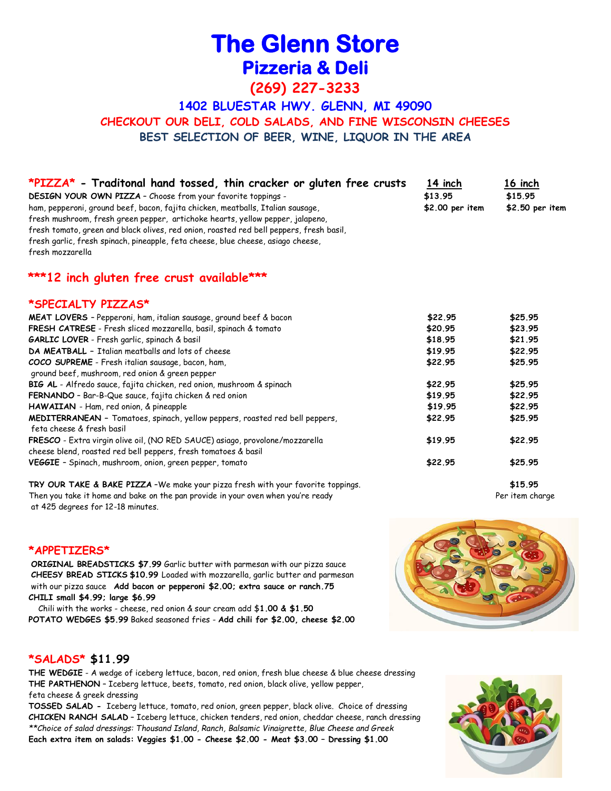# **The Glenn Store Pizzeria & Deli**

**(269) 227-3233**

**1402 BLUESTAR HWY. GLENN, MI 49090 CHECKOUT OUR DELI, COLD SALADS, AND FINE WISCONSIN CHEESES BEST SELECTION OF BEER, WINE, LIQUOR IN THE AREA**

| *PIZZA* - Traditonal hand tossed, thin cracker or gluten free crusts                    | 14 inch         | 16 inch         |
|-----------------------------------------------------------------------------------------|-----------------|-----------------|
| DESIGN YOUR OWN PIZZA - Choose from your favorite toppings -                            | \$13.95         | \$15.95         |
| ham, pepperoni, ground beef, bacon, fajita chicken, meatballs, Italian sausage,         | \$2.00 per item | \$2.50 per item |
| fresh mushroom, fresh green pepper, artichoke hearts, yellow pepper, jalapeno,          |                 |                 |
| fresh tomato, green and black olives, red onion, roasted red bell peppers, fresh basil, |                 |                 |
| fresh garlic, fresh spinach, pineapple, feta cheese, blue cheese, asiago cheese,        |                 |                 |
| fresh mozzarella                                                                        |                 |                 |
| ***12 inch gluten free crust available***                                               |                 |                 |
| *SPECIALTY PIZZAS*                                                                      |                 |                 |
| <b>MEAT LOVERS</b> - Pepperoni, ham, italian sausage, ground beef & bacon               | \$22.95         | \$25.95         |
| FRESH CATRESE - Fresh sliced mozzarella, basil, spinach & tomato                        | \$20.95         | \$23.95         |
| <b>GARLIC LOVER</b> - Fresh garlic, spinach & basil                                     | \$18.95         | \$21.95         |
| DA MEATBALL - Italian meatballs and lots of cheese                                      | \$19.95         | \$22.95         |
| COCO SUPREME - Fresh italian sausage, bacon, ham,                                       | \$22.95         | \$25.95         |
| ground beef, mushroom, red onion & green pepper                                         |                 |                 |
| BIG AL - Alfredo sauce, fajita chicken, red onion, mushroom & spinach                   | \$22.95         | \$25.95         |
| FERNANDO - Bar-B-Que sauce, fajita chicken & red onion                                  | \$19.95         | \$22.95         |
| HAWAIIAN - Ham, red onion, & pineapple                                                  | \$19.95         | \$22.95         |
| MEDITERRANEAN - Tomatoes, spinach, yellow peppers, roasted red bell peppers,            | \$22.95         | \$25.95         |
| feta cheese & fresh basil                                                               |                 |                 |
| FRESCO - Extra virgin olive oil, (NO RED SAUCE) asiago, provolone/mozzarella            | \$19.95         | \$22.95         |
| cheese blend, roasted red bell peppers, fresh tomatoes & basil                          |                 |                 |
| VEGGIE - Spinach, mushroom, onion, green pepper, tomato                                 | \$22.95         | \$25.95         |
| TRY OUR TAKE & BAKE PIZZA -We make your pizza fresh with your favorite toppings.        |                 | \$15.95         |
| Then you take it home and bake on the pan provide in your oven when you're ready        |                 | Per item charge |

at 425 degrees for 12-18 minutes.

### **\*APPETIZERS\***

**ORIGINAL BREADSTICKS \$7.99** Garlic butter with parmesan with our pizza sauce **CHEESY BREAD STICKS \$10.99** Loaded with mozzarella, garlic butter and parmesan with our pizza sauce **Add bacon or pepperoni \$2.00; extra sauce or ranch.75 CHILI small \$4.99; large \$6.99**

 Chili with the works - cheese, red onion & sour cream add \$**1.00 & \$1.50 POTATO WEDGES \$5.99** Baked seasoned fries - **Add chili for \$2.00, cheese \$2.00**



## **\*SALADS\* \$11.99**

**THE WEDGIE** - A wedge of iceberg lettuce, bacon, red onion, fresh blue cheese & blue cheese dressing **THE PARTHENON** – Iceberg lettuce, beets, tomato, red onion, black olive, yellow pepper, feta cheese & greek dressing

**TOSSED SALAD -** Iceberg lettuce, tomato, red onion, green pepper, black olive. Choice of dressing **CHICKEN RANCH SALAD** – Iceberg lettuce, chicken tenders, red onion, cheddar cheese, ranch dressing *\*\*Choice of salad dressings: Thousand Island, Ranch, Balsamic Vinaigrette, Blue Cheese and Greek* **Each extra item on salads: Veggies \$1.00 - Cheese \$2.00 - Meat \$3.00 – Dressing \$1.00**